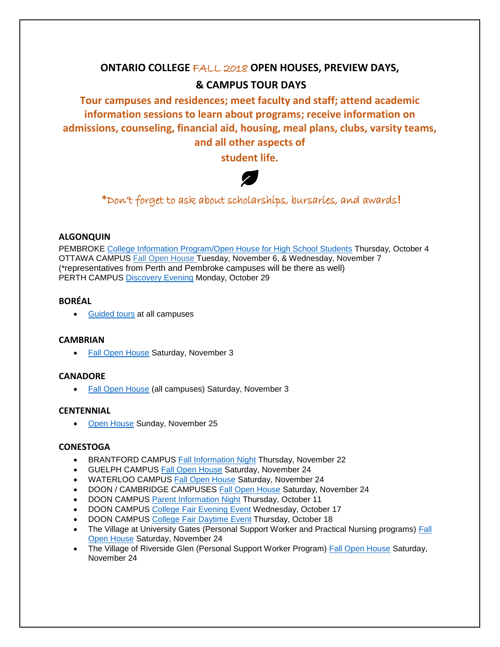# **ONTARIO COLLEGE** FALL 2018 **OPEN HOUSES, PREVIEW DAYS, & CAMPUS TOUR DAYS**

**Tour campuses and residences; meet faculty and staff; attend academic information sessions to learn about programs; receive information on admissions, counseling, financial aid, housing, meal plans, clubs, varsity teams, and all other aspects of** 

**student life.**



**\***Don't forget to ask about scholarships, bursaries, and awards**!**

## **ALGONQUIN**

PEMBROKE [College Information Program/Open House for High School Students](http://www.algonquincollege.com/pembroke/open-house/) Thursday, October 4 OTTAWA CAMPUS [Fall Open House](http://www.algonquincollege.com/openhouse/) Tuesday, November 6, & Wednesday, November 7 (\*representatives from Perth and Pembroke campuses will be there as well) PERTH CAMPUS [Discovery Evening](http://www.algonquincollege.com/perth/event/discoveryoct29/) Monday, October 29

# **BORÉAL**

• [Guided tours](http://www.collegeboreal.ca/contact-us/guided-tours-and-liaison/) at all campuses

#### **CAMBRIAN**

• [Fall Open House](https://cambriancollege.ca/events/fall-open-house-2/) Saturday, November 3

# **CANADORE**

• [Fall Open House](https://mycanadore.ca/canadore/events/index.do) (all campuses) Saturday, November 3

# **CENTENNIAL**

• [Open House](https://www.centennialcollege.ca/college-events-2018-2019/centennial-open-house/) Sunday, November 25

## **CONESTOGA**

- BRANTFORD CAMPUS [Fall Information Night](http://blogs1.conestogac.on.ca/events/2018/11/conestoga_brantford_fall_infor.php) Thursday, November 22
- GUELPH CAMPUS [Fall Open House](http://blogs1.conestogac.on.ca/events/2018/11/fall_open_house_-_guelph.php) Saturday, November 24
- WATERLOO CAMPUS [Fall Open House](http://blogs1.conestogac.on.ca/events/2018/11/fall_open_house_-_guelph_1.php) Saturday, November 24
- DOON / CAMBRIDGE CAMPUSES [Fall Open House](http://blogs1.conestogac.on.ca/events/2018/11/fall_open_house_-_dooncambridg.php) Saturday, November 24
- DOON CAMPUS [Parent Information Night](http://blogs1.conestogac.on.ca/events/2018/10/parent_information_night_2.php) Thursday, October 11
- DOON CAMPUS [College Fair Evening Event](http://blogs1.conestogac.on.ca/events/2018/10/college_fair_4.php) Wednesday, October 17
- DOON CAMPUS [College Fair Daytime Event](http://blogs1.conestogac.on.ca/events/2018/10/college_fair_day-tim_event.php) Thursday, October 18
- The Village at University Gates (Personal Support Worker and Practical Nursing programs) [Fall](http://blogs1.conestogac.on.ca/events/2018/11/fall_open_house_-_the_village_1.php)  [Open House](http://blogs1.conestogac.on.ca/events/2018/11/fall_open_house_-_the_village_1.php) Saturday, November 24
- The Village of Riverside Glen (Personal Support Worker Program) [Fall Open House](http://blogs1.conestogac.on.ca/events/2018/11/fall_open_house_-_the_village.php) Saturday, November 24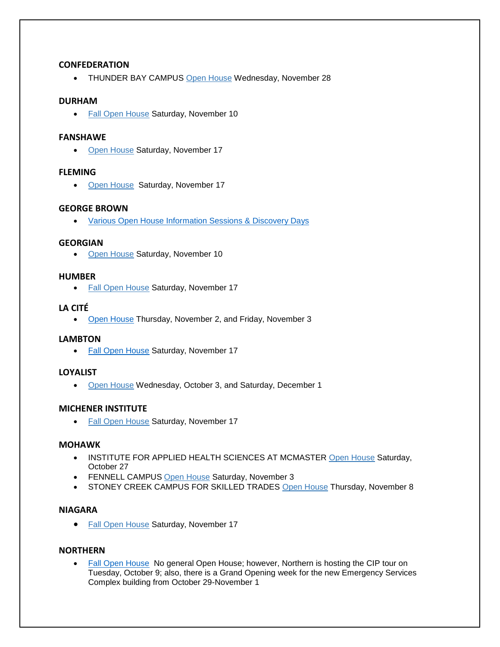## **CONFEDERATION**

• THUNDER BAY CAMPUS [Open House](http://ibelongatnipissingu.ca/open-house/) [Wednesday, November 28](http://ibelongatnipissingu.ca/open-house/)

## **DURHAM**

• [Fall Open House](http://www.durhamcollege.ca/open-house) Saturday, November 10

#### **FANSHAWE**

• [Open House](https://www.fanshawec.ca/about-fanshawe/contact-us/open-house) Saturday, November 17

#### **FLEMING**

• [Open House](https://flemingcollege.ca/openhouse) Saturday, November 17

## **GEORGE BROWN**

• [Various Open House Information Sessions & Discovery Days](https://www.georgebrown.ca/dd_chca_info/)

#### **GEORGIAN**

• [Open House](http://www.georgiancollege.ca/news-events/all-events/fall-open-house/) Saturday, November 10

## **HUMBER**

• [Fall Open House](https://humber.ca/futurestudents/tours-events/recruitment-events/fall-open-house.html) Saturday, November 17

## **LA CITÉ**

• [Open House](https://www.facebook.com/collegeLaCite/?rf=102161989825610) Thursday, November 2, and Friday, November 3

#### **LAMBTON**

• [Fall Open House](https://www.lambtoncollege.ca/custom/LambtonApps/Calendar/Event.aspx?evtid=47987&calid=13date=11/18/2018) Saturday, November 17

# **LOYALIST**

• [Open House](http://www.loyalistcollege.com/future-students/open-house/) Wednesday, October 3, and Saturday, December 1

# **MICHENER INSTITUTE**

• [Fall Open House](http://michener.ca/admissions/events-tours/openhouse/?platform=hootsuite) Saturday, November 17

#### **MOHAWK**

- INSTITUTE FOR APPLIED HEALTH SCIENCES AT MCMASTER [Open House](http://www.mohawkcollege.ca/events/open-house-recruitment/open-house-at-institute-for-applied-health-sciences-at-mcmaster) Saturday, October 27
- FENNELL CAMPUS [Open House](https://www.mohawkcollege.ca/events/open-house-recruitment/open-house-at-fennell-campus) Saturday, November 3
- STONEY CREEK CAMPUS FOR SKILLED TRADES [Open House](http://www.mohawkcollege.ca/events/open-house-recruitment/open-house-at-stoney-creek-campus-for-skilled-trades) Thursday, November 8

#### **NIAGARA**

• [Fall Open House](http://www.niagaracollege.ca/openhouse/) Saturday, November 17

#### **NORTHERN**

• [Fall Open House](http://www.northernc.on.ca/) No general Open House; however, Northern is hosting the CIP tour on Tuesday, October 9; also, there is a Grand Opening week for the new Emergency Services Complex building from October 29-November 1